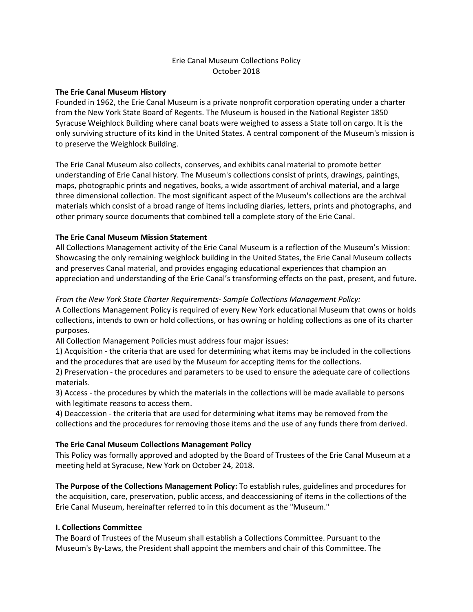# Erie Canal Museum Collections Policy October 2018

#### **The Erie Canal Museum History**

Founded in 1962, the Erie Canal Museum is a private nonprofit corporation operating under a charter from the New York State Board of Regents. The Museum is housed in the National Register 1850 Syracuse Weighlock Building where canal boats were weighed to assess a State toll on cargo. It is the only surviving structure of its kind in the United States. A central component of the Museum's mission is to preserve the Weighlock Building.

The Erie Canal Museum also collects, conserves, and exhibits canal material to promote better understanding of Erie Canal history. The Museum's collections consist of prints, drawings, paintings, maps, photographic prints and negatives, books, a wide assortment of archival material, and a large three dimensional collection. The most significant aspect of the Museum's collections are the archival materials which consist of a broad range of items including diaries, letters, prints and photographs, and other primary source documents that combined tell a complete story of the Erie Canal.

## **The Erie Canal Museum Mission Statement**

All Collections Management activity of the Erie Canal Museum is a reflection of the Museum's Mission: Showcasing the only remaining weighlock building in the United States, the Erie Canal Museum collects and preserves Canal material, and provides engaging educational experiences that champion an appreciation and understanding of the Erie Canal's transforming effects on the past, present, and future.

## *From the New York State Charter Requirements- Sample Collections Management Policy:*

A Collections Management Policy is required of every New York educational Museum that owns or holds collections, intends to own or hold collections, or has owning or holding collections as one of its charter purposes.

All Collection Management Policies must address four major issues:

1) Acquisition - the criteria that are used for determining what items may be included in the collections and the procedures that are used by the Museum for accepting items for the collections.

2) Preservation - the procedures and parameters to be used to ensure the adequate care of collections materials.

3) Access - the procedures by which the materials in the collections will be made available to persons with legitimate reasons to access them.

4) Deaccession - the criteria that are used for determining what items may be removed from the collections and the procedures for removing those items and the use of any funds there from derived.

## **The Erie Canal Museum Collections Management Policy**

This Policy was formally approved and adopted by the Board of Trustees of the Erie Canal Museum at a meeting held at Syracuse, New York on October 24, 2018.

**The Purpose of the Collections Management Policy:** To establish rules, guidelines and procedures for the acquisition, care, preservation, public access, and deaccessioning of items in the collections of the Erie Canal Museum, hereinafter referred to in this document as the "Museum."

## **I. Collections Committee**

The Board of Trustees of the Museum shall establish a Collections Committee. Pursuant to the Museum's By-Laws, the President shall appoint the members and chair of this Committee. The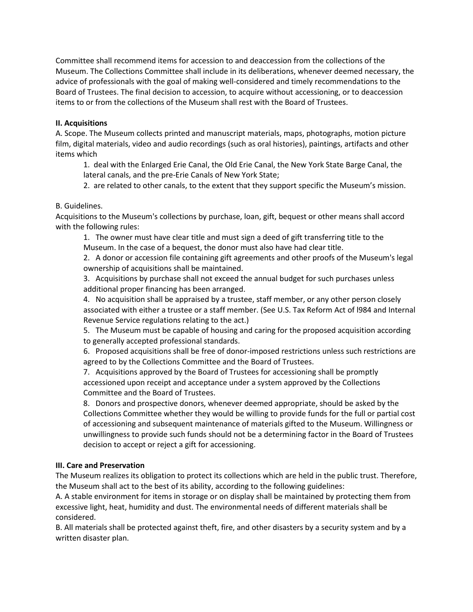Committee shall recommend items for accession to and deaccession from the collections of the Museum. The Collections Committee shall include in its deliberations, whenever deemed necessary, the advice of professionals with the goal of making well-considered and timely recommendations to the Board of Trustees. The final decision to accession, to acquire without accessioning, or to deaccession items to or from the collections of the Museum shall rest with the Board of Trustees.

# **II. Acquisitions**

A. Scope. The Museum collects printed and manuscript materials, maps, photographs, motion picture film, digital materials, video and audio recordings (such as oral histories), paintings, artifacts and other items which

1. deal with the Enlarged Erie Canal, the Old Erie Canal, the New York State Barge Canal, the lateral canals, and the pre-Erie Canals of New York State;

2. are related to other canals, to the extent that they support specific the Museum's mission.

## B. Guidelines.

Acquisitions to the Museum's collections by purchase, loan, gift, bequest or other means shall accord with the following rules:

1. The owner must have clear title and must sign a deed of gift transferring title to the Museum. In the case of a bequest, the donor must also have had clear title.

2. A donor or accession file containing gift agreements and other proofs of the Museum's legal ownership of acquisitions shall be maintained.

3. Acquisitions by purchase shall not exceed the annual budget for such purchases unless additional proper financing has been arranged.

4. No acquisition shall be appraised by a trustee, staff member, or any other person closely associated with either a trustee or a staff member. (See U.S. Tax Reform Act of l984 and Internal Revenue Service regulations relating to the act.)

5. The Museum must be capable of housing and caring for the proposed acquisition according to generally accepted professional standards.

6. Proposed acquisitions shall be free of donor-imposed restrictions unless such restrictions are agreed to by the Collections Committee and the Board of Trustees.

7. Acquisitions approved by the Board of Trustees for accessioning shall be promptly accessioned upon receipt and acceptance under a system approved by the Collections Committee and the Board of Trustees.

8. Donors and prospective donors, whenever deemed appropriate, should be asked by the Collections Committee whether they would be willing to provide funds for the full or partial cost of accessioning and subsequent maintenance of materials gifted to the Museum. Willingness or unwillingness to provide such funds should not be a determining factor in the Board of Trustees decision to accept or reject a gift for accessioning.

# **III. Care and Preservation**

The Museum realizes its obligation to protect its collections which are held in the public trust. Therefore, the Museum shall act to the best of its ability, according to the following guidelines:

A. A stable environment for items in storage or on display shall be maintained by protecting them from excessive light, heat, humidity and dust. The environmental needs of different materials shall be considered.

B. All materials shall be protected against theft, fire, and other disasters by a security system and by a written disaster plan.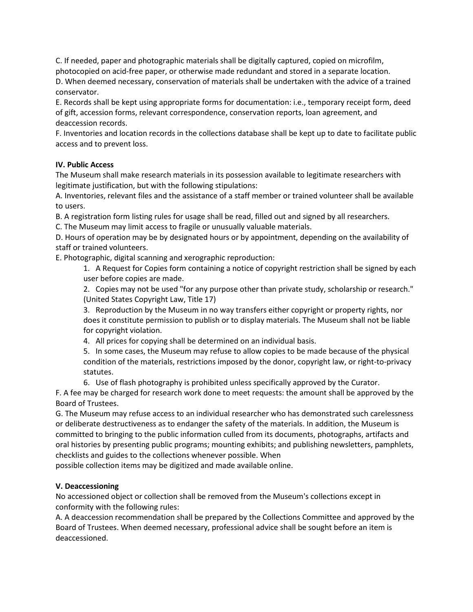C. If needed, paper and photographic materials shall be digitally captured, copied on microfilm, photocopied on acid-free paper, or otherwise made redundant and stored in a separate location.

D. When deemed necessary, conservation of materials shall be undertaken with the advice of a trained conservator.

E. Records shall be kept using appropriate forms for documentation: i.e., temporary receipt form, deed of gift, accession forms, relevant correspondence, conservation reports, loan agreement, and deaccession records.

F. Inventories and location records in the collections database shall be kept up to date to facilitate public access and to prevent loss.

# **IV. Public Access**

The Museum shall make research materials in its possession available to legitimate researchers with legitimate justification, but with the following stipulations:

A. Inventories, relevant files and the assistance of a staff member or trained volunteer shall be available to users.

B. A registration form listing rules for usage shall be read, filled out and signed by all researchers.

C. The Museum may limit access to fragile or unusually valuable materials.

D. Hours of operation may be by designated hours or by appointment, depending on the availability of staff or trained volunteers.

E. Photographic, digital scanning and xerographic reproduction:

1. A Request for Copies form containing a notice of copyright restriction shall be signed by each user before copies are made.

2. Copies may not be used "for any purpose other than private study, scholarship or research." (United States Copyright Law, Title 17)

3. Reproduction by the Museum in no way transfers either copyright or property rights, nor does it constitute permission to publish or to display materials. The Museum shall not be liable for copyright violation.

4. All prices for copying shall be determined on an individual basis.

5. In some cases, the Museum may refuse to allow copies to be made because of the physical condition of the materials, restrictions imposed by the donor, copyright law, or right-to-privacy statutes.

6. Use of flash photography is prohibited unless specifically approved by the Curator.

F. A fee may be charged for research work done to meet requests: the amount shall be approved by the Board of Trustees.

G. The Museum may refuse access to an individual researcher who has demonstrated such carelessness or deliberate destructiveness as to endanger the safety of the materials. In addition, the Museum is committed to bringing to the public information culled from its documents, photographs, artifacts and oral histories by presenting public programs; mounting exhibits; and publishing newsletters, pamphlets, checklists and guides to the collections whenever possible. When

possible collection items may be digitized and made available online.

# **V. Deaccessioning**

No accessioned object or collection shall be removed from the Museum's collections except in conformity with the following rules:

A. A deaccession recommendation shall be prepared by the Collections Committee and approved by the Board of Trustees. When deemed necessary, professional advice shall be sought before an item is deaccessioned.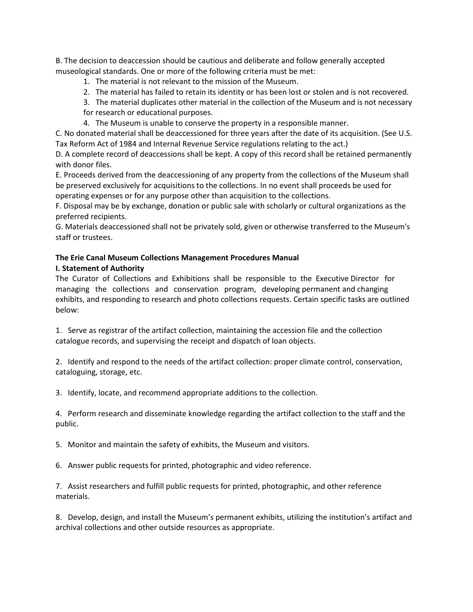B. The decision to deaccession should be cautious and deliberate and follow generally accepted museological standards. One or more of the following criteria must be met:

- 1. The material is not relevant to the mission of the Museum.
- 2. The material has failed to retain its identity or has been lost or stolen and is not recovered.
- 3. The material duplicates other material in the collection of the Museum and is not necessary

for research or educational purposes.

4. The Museum is unable to conserve the property in a responsible manner.

C. No donated material shall be deaccessioned for three years after the date of its acquisition. (See U.S. Tax Reform Act of 1984 and Internal Revenue Service regulations relating to the act.)

D. A complete record of deaccessions shall be kept. A copy of this record shall be retained permanently with donor files.

E. Proceeds derived from the deaccessioning of any property from the collections of the Museum shall be preserved exclusively for acquisitions to the collections. In no event shall proceeds be used for operating expenses or for any purpose other than acquisition to the collections.

F. Disposal may be by exchange, donation or public sale with scholarly or cultural organizations as the preferred recipients.

G. Materials deaccessioned shall not be privately sold, given or otherwise transferred to the Museum's staff or trustees.

# **The Erie Canal Museum Collections Management Procedures Manual I. Statement of Authority**

The Curator of Collections and Exhibitions shall be responsible to the Executive Director for managing the collections and conservation program, developing permanent and changing exhibits, and responding to research and photo collections requests. Certain specific tasks are outlined below:

1. Serve as registrar of the artifact collection, maintaining the accession file and the collection catalogue records, and supervising the receipt and dispatch of loan objects.

2. Identify and respond to the needs of the artifact collection: proper climate control, conservation, cataloguing, storage, etc.

3. Identify, locate, and recommend appropriate additions to the collection.

4. Perform research and disseminate knowledge regarding the artifact collection to the staff and the public.

5. Monitor and maintain the safety of exhibits, the Museum and visitors.

6. Answer public requests for printed, photographic and video reference.

7. Assist researchers and fulfill public requests for printed, photographic, and other reference materials.

8. Develop, design, and install the Museum's permanent exhibits, utilizing the institution's artifact and archival collections and other outside resources as appropriate.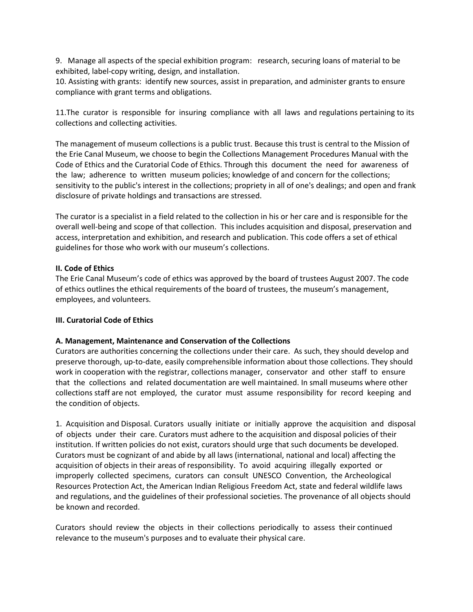9. Manage all aspects of the special exhibition program: research, securing loans of material to be exhibited, label-copy writing, design, and installation.

10. Assisting with grants: identify new sources, assist in preparation, and administer grants to ensure compliance with grant terms and obligations.

11.The curator is responsible for insuring compliance with all laws and regulations pertaining to its collections and collecting activities.

The management of museum collections is a public trust. Because this trust is central to the Mission of the Erie Canal Museum, we choose to begin the Collections Management Procedures Manual with the Code of Ethics and the Curatorial Code of Ethics. Through this document the need for awareness of the law; adherence to written museum policies; knowledge of and concern for the collections; sensitivity to the public's interest in the collections; propriety in all of one's dealings; and open and frank disclosure of private holdings and transactions are stressed.

The curator is a specialist in a field related to the collection in his or her care and is responsible for the overall well-being and scope of that collection. This includes acquisition and disposal, preservation and access, interpretation and exhibition, and research and publication. This code offers a set of ethical guidelines for those who work with our museum's collections.

#### **II. Code of Ethics**

The Erie Canal Museum's code of ethics was approved by the board of trustees August 2007. The code of ethics outlines the ethical requirements of the board of trustees, the museum's management, employees, and volunteers.

#### **III. Curatorial Code of Ethics**

## **A. Management, Maintenance and Conservation of the Collections**

Curators are authorities concerning the collections under their care. As such, they should develop and preserve thorough, up-to-date, easily comprehensible information about those collections. They should work in cooperation with the registrar, collections manager, conservator and other staff to ensure that the collections and related documentation are well maintained. In small museums where other collections staff are not employed, the curator must assume responsibility for record keeping and the condition of objects.

1. Acquisition and Disposal. Curators usually initiate or initially approve the acquisition and disposal of objects under their care. Curators must adhere to the acquisition and disposal policies of their institution. If written policies do not exist, curators should urge that such documents be developed. Curators must be cognizant of and abide by all laws (international, national and local) affecting the acquisition of objects in their areas of responsibility. To avoid acquiring illegally exported or improperly collected specimens, curators can consult UNESCO Convention, the Archeological Resources Protection Act, the American Indian Religious Freedom Act, state and federal wildlife laws and regulations, and the guidelines of their professional societies. The provenance of all objects should be known and recorded.

Curators should review the objects in their collections periodically to assess their continued relevance to the museum's purposes and to evaluate their physical care.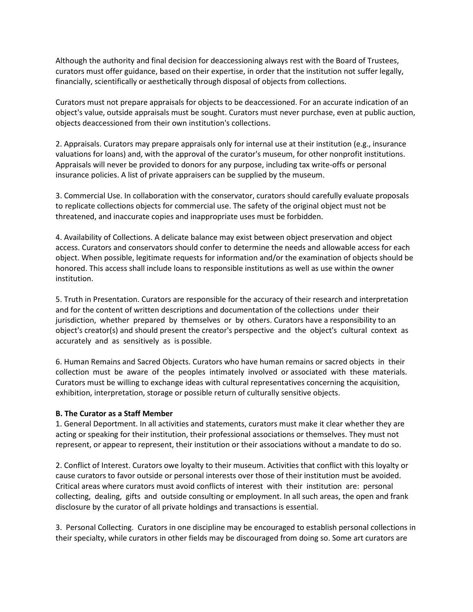Although the authority and final decision for deaccessioning always rest with the Board of Trustees, curators must offer guidance, based on their expertise, in order that the institution not suffer legally, financially, scientifically or aesthetically through disposal of objects from collections.

Curators must not prepare appraisals for objects to be deaccessioned. For an accurate indication of an object's value, outside appraisals must be sought. Curators must never purchase, even at public auction, objects deaccessioned from their own institution's collections.

2. Appraisals. Curators may prepare appraisals only for internal use at their institution (e.g., insurance valuations for loans) and, with the approval of the curator's museum, for other nonprofit institutions. Appraisals will never be provided to donors for any purpose, including tax write-offs or personal insurance policies. A list of private appraisers can be supplied by the museum.

3. Commercial Use. In collaboration with the conservator, curators should carefully evaluate proposals to replicate collections objects for commercial use. The safety of the original object must not be threatened, and inaccurate copies and inappropriate uses must be forbidden.

4. Availability of Collections. A delicate balance may exist between object preservation and object access. Curators and conservators should confer to determine the needs and allowable access for each object. When possible, legitimate requests for information and/or the examination of objects should be honored. This access shall include loans to responsible institutions as well as use within the owner institution.

5. Truth in Presentation. Curators are responsible for the accuracy of their research and interpretation and for the content of written descriptions and documentation of the collections under their jurisdiction, whether prepared by themselves or by others. Curators have a responsibility to an object's creator(s) and should present the creator's perspective and the object's cultural context as accurately and as sensitively as is possible.

6. Human Remains and Sacred Objects. Curators who have human remains or sacred objects in their collection must be aware of the peoples intimately involved or associated with these materials. Curators must be willing to exchange ideas with cultural representatives concerning the acquisition, exhibition, interpretation, storage or possible return of culturally sensitive objects.

## **B. The Curator as a Staff Member**

1. General Deportment. In all activities and statements, curators must make it clear whether they are acting or speaking for their institution, their professional associations or themselves. They must not represent, or appear to represent, their institution or their associations without a mandate to do so.

2. Conflict of Interest. Curators owe loyalty to their museum. Activities that conflict with this loyalty or cause curators to favor outside or personal interests over those of their institution must be avoided. Critical areas where curators must avoid conflicts of interest with their institution are: personal collecting, dealing, gifts and outside consulting or employment. In all such areas, the open and frank disclosure by the curator of all private holdings and transactions is essential.

3. Personal Collecting. Curators in one discipline may be encouraged to establish personal collections in their specialty, while curators in other fields may be discouraged from doing so. Some art curators are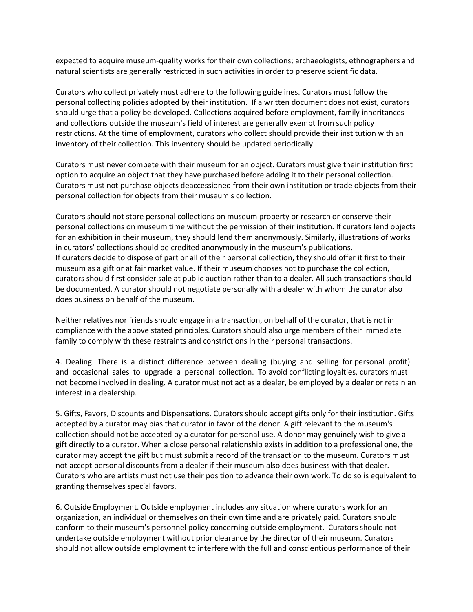expected to acquire museum-quality works for their own collections; archaeologists, ethnographers and natural scientists are generally restricted in such activities in order to preserve scientific data.

Curators who collect privately must adhere to the following guidelines. Curators must follow the personal collecting policies adopted by their institution. If a written document does not exist, curators should urge that a policy be developed. Collections acquired before employment, family inheritances and collections outside the museum's field of interest are generally exempt from such policy restrictions. At the time of employment, curators who collect should provide their institution with an inventory of their collection. This inventory should be updated periodically.

Curators must never compete with their museum for an object. Curators must give their institution first option to acquire an object that they have purchased before adding it to their personal collection. Curators must not purchase objects deaccessioned from their own institution or trade objects from their personal collection for objects from their museum's collection.

Curators should not store personal collections on museum property or research or conserve their personal collections on museum time without the permission of their institution. If curators lend objects for an exhibition in their museum, they should lend them anonymously. Similarly, illustrations of works in curators' collections should be credited anonymously in the museum's publications. If curators decide to dispose of part or all of their personal collection, they should offer it first to their museum as a gift or at fair market value. If their museum chooses not to purchase the collection, curators should first consider sale at public auction rather than to a dealer. All such transactions should be documented. A curator should not negotiate personally with a dealer with whom the curator also does business on behalf of the museum.

Neither relatives nor friends should engage in a transaction, on behalf of the curator, that is not in compliance with the above stated principles. Curators should also urge members of their immediate family to comply with these restraints and constrictions in their personal transactions.

4. Dealing. There is a distinct difference between dealing (buying and selling for personal profit) and occasional sales to upgrade a personal collection. To avoid conflicting loyalties, curators must not become involved in dealing. A curator must not act as a dealer, be employed by a dealer or retain an interest in a dealership.

5. Gifts, Favors, Discounts and Dispensations. Curators should accept gifts only for their institution. Gifts accepted by a curator may bias that curator in favor of the donor. A gift relevant to the museum's collection should not be accepted by a curator for personal use. A donor may genuinely wish to give a gift directly to a curator. When a close personal relationship exists in addition to a professional one, the curator may accept the gift but must submit a record of the transaction to the museum. Curators must not accept personal discounts from a dealer if their museum also does business with that dealer. Curators who are artists must not use their position to advance their own work. To do so is equivalent to granting themselves special favors.

6. Outside Employment. Outside employment includes any situation where curators work for an organization, an individual or themselves on their own time and are privately paid. Curators should conform to their museum's personnel policy concerning outside employment. Curators should not undertake outside employment without prior clearance by the director of their museum. Curators should not allow outside employment to interfere with the full and conscientious performance of their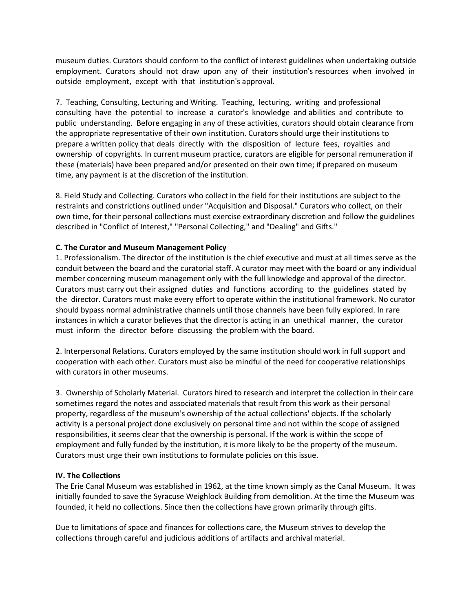museum duties. Curators should conform to the conflict of interest guidelines when undertaking outside employment. Curators should not draw upon any of their institution's resources when involved in outside employment, except with that institution's approval.

7. Teaching, Consulting, Lecturing and Writing. Teaching, lecturing, writing and professional consulting have the potential to increase a curator's knowledge and abilities and contribute to public understanding. Before engaging in any of these activities, curators should obtain clearance from the appropriate representative of their own institution. Curators should urge their institutions to prepare a written policy that deals directly with the disposition of lecture fees, royalties and ownership of copyrights. In current museum practice, curators are eligible for personal remuneration if these (materials) have been prepared and/or presented on their own time; if prepared on museum time, any payment is at the discretion of the institution.

8. Field Study and Collecting. Curators who collect in the field for their institutions are subject to the restraints and constrictions outlined under "Acquisition and Disposal." Curators who collect, on their own time, for their personal collections must exercise extraordinary discretion and follow the guidelines described in "Conflict of Interest," "Personal Collecting," and "Dealing" and Gifts."

## **C. The Curator and Museum Management Policy**

1. Professionalism. The director of the institution is the chief executive and must at all times serve as the conduit between the board and the curatorial staff. A curator may meet with the board or any individual member concerning museum management only with the full knowledge and approval of the director. Curators must carry out their assigned duties and functions according to the guidelines stated by the director. Curators must make every effort to operate within the institutional framework. No curator should bypass normal administrative channels until those channels have been fully explored. In rare instances in which a curator believes that the director is acting in an unethical manner, the curator must inform the director before discussing the problem with the board.

2. Interpersonal Relations. Curators employed by the same institution should work in full support and cooperation with each other. Curators must also be mindful of the need for cooperative relationships with curators in other museums.

3. Ownership of Scholarly Material. Curators hired to research and interpret the collection in their care sometimes regard the notes and associated materials that result from this work as their personal property, regardless of the museum's ownership of the actual collections' objects. If the scholarly activity is a personal project done exclusively on personal time and not within the scope of assigned responsibilities, it seems clear that the ownership is personal. If the work is within the scope of employment and fully funded by the institution, it is more likely to be the property of the museum. Curators must urge their own institutions to formulate policies on this issue.

## **IV. The Collections**

The Erie Canal Museum was established in 1962, at the time known simply as the Canal Museum. It was initially founded to save the Syracuse Weighlock Building from demolition. At the time the Museum was founded, it held no collections. Since then the collections have grown primarily through gifts.

Due to limitations of space and finances for collections care, the Museum strives to develop the collections through careful and judicious additions of artifacts and archival material.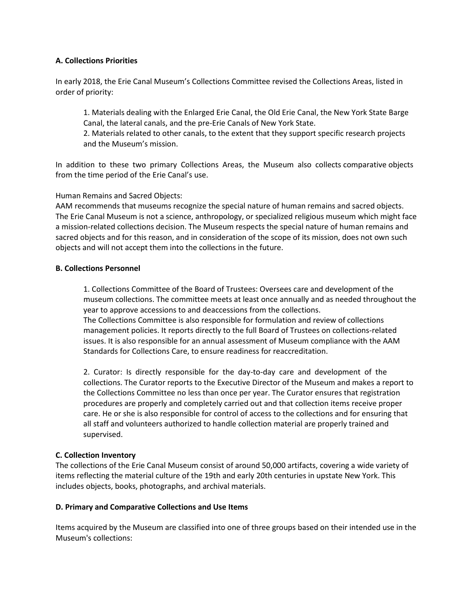## **A. Collections Priorities**

In early 2018, the Erie Canal Museum's Collections Committee revised the Collections Areas, listed in order of priority:

1. Materials dealing with the Enlarged Erie Canal, the Old Erie Canal, the New York State Barge Canal, the lateral canals, and the pre-Erie Canals of New York State.

2. Materials related to other canals, to the extent that they support specific research projects and the Museum's mission.

In addition to these two primary Collections Areas, the Museum also collects comparative objects from the time period of the Erie Canal's use.

#### Human Remains and Sacred Objects:

AAM recommends that museums recognize the special nature of human remains and sacred objects. The Erie Canal Museum is not a science, anthropology, or specialized religious museum which might face a mission-related collections decision. The Museum respects the special nature of human remains and sacred objects and for this reason, and in consideration of the scope of its mission, does not own such objects and will not accept them into the collections in the future.

## **B. Collections Personnel**

1. Collections Committee of the Board of Trustees: Oversees care and development of the museum collections. The committee meets at least once annually and as needed throughout the year to approve accessions to and deaccessions from the collections. The Collections Committee is also responsible for formulation and review of collections management policies. It reports directly to the full Board of Trustees on collections-related issues. It is also responsible for an annual assessment of Museum compliance with the AAM Standards for Collections Care, to ensure readiness for reaccreditation.

2. Curator: Is directly responsible for the day-to-day care and development of the collections. The Curator reports to the Executive Director of the Museum and makes a report to the Collections Committee no less than once per year. The Curator ensures that registration procedures are properly and completely carried out and that collection items receive proper care. He or she is also responsible for control of access to the collections and for ensuring that all staff and volunteers authorized to handle collection material are properly trained and supervised.

#### **C. Collection Inventory**

The collections of the Erie Canal Museum consist of around 50,000 artifacts, covering a wide variety of items reflecting the material culture of the 19th and early 20th centuries in upstate New York. This includes objects, books, photographs, and archival materials.

#### **D. Primary and Comparative Collections and Use Items**

Items acquired by the Museum are classified into one of three groups based on their intended use in the Museum's collections: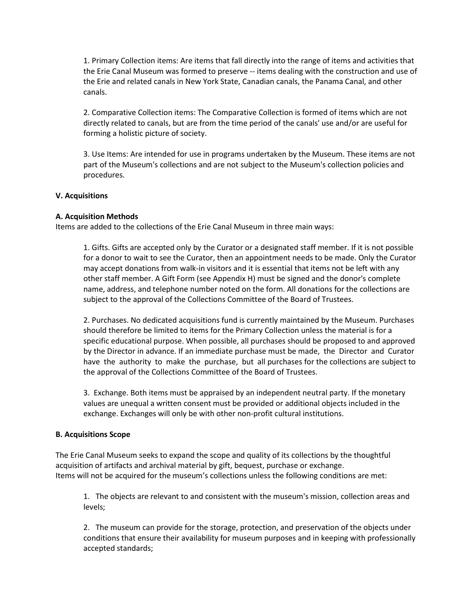1. Primary Collection items: Are items that fall directly into the range of items and activities that the Erie Canal Museum was formed to preserve -- items dealing with the construction and use of the Erie and related canals in New York State, Canadian canals, the Panama Canal, and other canals.

2. Comparative Collection items: The Comparative Collection is formed of items which are not directly related to canals, but are from the time period of the canals' use and/or are useful for forming a holistic picture of society.

3. Use Items: Are intended for use in programs undertaken by the Museum. These items are not part of the Museum's collections and are not subject to the Museum's collection policies and procedures.

#### **V. Acquisitions**

#### **A. Acquisition Methods**

Items are added to the collections of the Erie Canal Museum in three main ways:

1. Gifts. Gifts are accepted only by the Curator or a designated staff member. If it is not possible for a donor to wait to see the Curator, then an appointment needs to be made. Only the Curator may accept donations from walk-in visitors and it is essential that items not be left with any other staff member. A Gift Form (see Appendix H) must be signed and the donor's complete name, address, and telephone number noted on the form. All donations for the collections are subject to the approval of the Collections Committee of the Board of Trustees.

2. Purchases. No dedicated acquisitions fund is currently maintained by the Museum. Purchases should therefore be limited to items for the Primary Collection unless the material is for a specific educational purpose. When possible, all purchases should be proposed to and approved by the Director in advance. If an immediate purchase must be made, the Director and Curator have the authority to make the purchase, but all purchases for the collections are subject to the approval of the Collections Committee of the Board of Trustees.

3. Exchange. Both items must be appraised by an independent neutral party. If the monetary values are unequal a written consent must be provided or additional objects included in the exchange. Exchanges will only be with other non-profit cultural institutions.

#### **B. Acquisitions Scope**

The Erie Canal Museum seeks to expand the scope and quality of its collections by the thoughtful acquisition of artifacts and archival material by gift, bequest, purchase or exchange. Items will not be acquired for the museum's collections unless the following conditions are met:

1. The objects are relevant to and consistent with the museum's mission, collection areas and levels;

2. The museum can provide for the storage, protection, and preservation of the objects under conditions that ensure their availability for museum purposes and in keeping with professionally accepted standards;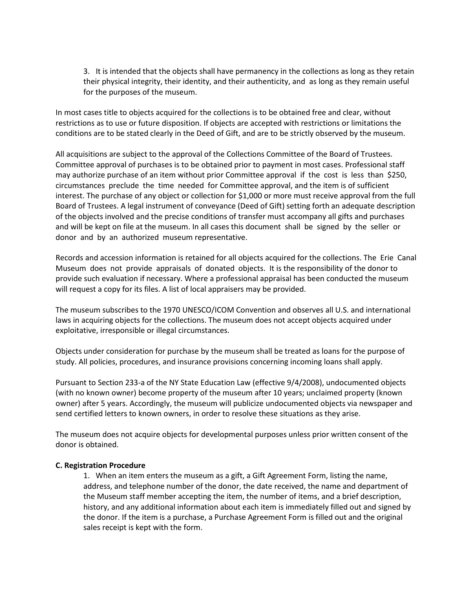3. It is intended that the objects shall have permanency in the collections as long as they retain their physical integrity, their identity, and their authenticity, and as long as they remain useful for the purposes of the museum.

In most cases title to objects acquired for the collections is to be obtained free and clear, without restrictions as to use or future disposition. If objects are accepted with restrictions or limitations the conditions are to be stated clearly in the Deed of Gift, and are to be strictly observed by the museum.

All acquisitions are subject to the approval of the Collections Committee of the Board of Trustees. Committee approval of purchases is to be obtained prior to payment in most cases. Professional staff may authorize purchase of an item without prior Committee approval if the cost is less than \$250, circumstances preclude the time needed for Committee approval, and the item is of sufficient interest. The purchase of any object or collection for \$1,000 or more must receive approval from the full Board of Trustees. A legal instrument of conveyance (Deed of Gift) setting forth an adequate description of the objects involved and the precise conditions of transfer must accompany all gifts and purchases and will be kept on file at the museum. In all cases this document shall be signed by the seller or donor and by an authorized museum representative.

Records and accession information is retained for all objects acquired for the collections. The Erie Canal Museum does not provide appraisals of donated objects. It is the responsibility of the donor to provide such evaluation if necessary. Where a professional appraisal has been conducted the museum will request a copy for its files. A list of local appraisers may be provided.

The museum subscribes to the 1970 UNESCO/ICOM Convention and observes all U.S. and international laws in acquiring objects for the collections. The museum does not accept objects acquired under exploitative, irresponsible or illegal circumstances.

Objects under consideration for purchase by the museum shall be treated as loans for the purpose of study. All policies, procedures, and insurance provisions concerning incoming loans shall apply.

Pursuant to Section 233-a of the NY State Education Law (effective 9/4/2008), undocumented objects (with no known owner) become property of the museum after 10 years; unclaimed property (known owner) after 5 years. Accordingly, the museum will publicize undocumented objects via newspaper and send certified letters to known owners, in order to resolve these situations as they arise.

The museum does not acquire objects for developmental purposes unless prior written consent of the donor is obtained.

#### **C. Registration Procedure**

1. When an item enters the museum as a gift, a Gift Agreement Form, listing the name, address, and telephone number of the donor, the date received, the name and department of the Museum staff member accepting the item, the number of items, and a brief description, history, and any additional information about each item is immediately filled out and signed by the donor. If the item is a purchase, a Purchase Agreement Form is filled out and the original sales receipt is kept with the form.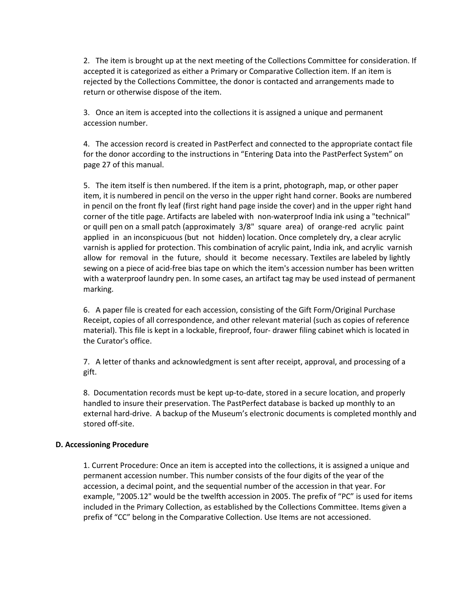2. The item is brought up at the next meeting of the Collections Committee for consideration. If accepted it is categorized as either a Primary or Comparative Collection item. If an item is rejected by the Collections Committee, the donor is contacted and arrangements made to return or otherwise dispose of the item.

3. Once an item is accepted into the collections it is assigned a unique and permanent accession number.

4. The accession record is created in PastPerfect and connected to the appropriate contact file for the donor according to the instructions in "Entering Data into the PastPerfect System" on page 27 of this manual.

5. The item itself is then numbered. If the item is a print, photograph, map, or other paper item, it is numbered in pencil on the verso in the upper right hand corner. Books are numbered in pencil on the front fly leaf (first right hand page inside the cover) and in the upper right hand corner of the title page. Artifacts are labeled with non-waterproof India ink using a "technical" or quill pen on a small patch (approximately 3/8" square area) of orange-red acrylic paint applied in an inconspicuous (but not hidden) location. Once completely dry, a clear acrylic varnish is applied for protection. This combination of acrylic paint, India ink, and acrylic varnish allow for removal in the future, should it become necessary. Textiles are labeled by lightly sewing on a piece of acid-free bias tape on which the item's accession number has been written with a waterproof laundry pen. In some cases, an artifact tag may be used instead of permanent marking.

6. A paper file is created for each accession, consisting of the Gift Form/Original Purchase Receipt, copies of all correspondence, and other relevant material (such as copies of reference material). This file is kept in a lockable, fireproof, four- drawer filing cabinet which is located in the Curator's office.

7. A letter of thanks and acknowledgment is sent after receipt, approval, and processing of a gift.

8. Documentation records must be kept up-to-date, stored in a secure location, and properly handled to insure their preservation. The PastPerfect database is backed up monthly to an external hard-drive. A backup of the Museum's electronic documents is completed monthly and stored off-site.

## **D. Accessioning Procedure**

1. Current Procedure: Once an item is accepted into the collections, it is assigned a unique and permanent accession number. This number consists of the four digits of the year of the accession, a decimal point, and the sequential number of the accession in that year. For example, "2005.12" would be the twelfth accession in 2005. The prefix of "PC" is used for items included in the Primary Collection, as established by the Collections Committee. Items given a prefix of "CC" belong in the Comparative Collection. Use Items are not accessioned.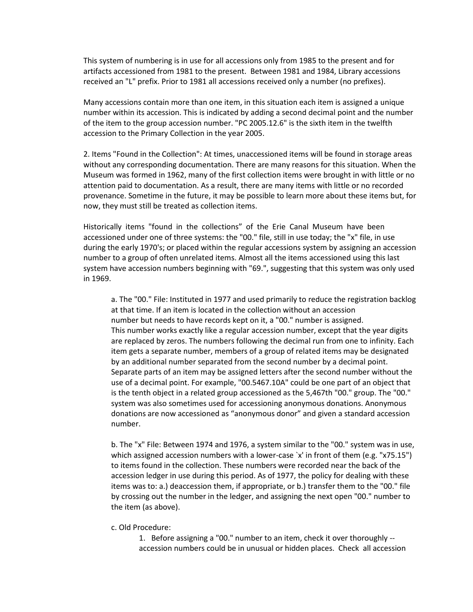This system of numbering is in use for all accessions only from 1985 to the present and for artifacts accessioned from 1981 to the present. Between 1981 and 1984, Library accessions received an "L" prefix. Prior to 1981 all accessions received only a number (no prefixes).

Many accessions contain more than one item, in this situation each item is assigned a unique number within its accession. This is indicated by adding a second decimal point and the number of the item to the group accession number. "PC 2005.12.6" is the sixth item in the twelfth accession to the Primary Collection in the year 2005.

2. Items "Found in the Collection": At times, unaccessioned items will be found in storage areas without any corresponding documentation. There are many reasons for this situation. When the Museum was formed in 1962, many of the first collection items were brought in with little or no attention paid to documentation. As a result, there are many items with little or no recorded provenance. Sometime in the future, it may be possible to learn more about these items but, for now, they must still be treated as collection items.

Historically items "found in the collections" of the Erie Canal Museum have been accessioned under one of three systems: the "00." file, still in use today; the "x" file, in use during the early 1970's; or placed within the regular accessions system by assigning an accession number to a group of often unrelated items. Almost all the items accessioned using this last system have accession numbers beginning with "69.", suggesting that this system was only used in 1969.

a. The "00." File: Instituted in 1977 and used primarily to reduce the registration backlog at that time. If an item is located in the collection without an accession number but needs to have records kept on it, a "00." number is assigned. This number works exactly like a regular accession number, except that the year digits are replaced by zeros. The numbers following the decimal run from one to infinity. Each item gets a separate number, members of a group of related items may be designated by an additional number separated from the second number by a decimal point. Separate parts of an item may be assigned letters after the second number without the use of a decimal point. For example, "00.5467.10A" could be one part of an object that is the tenth object in a related group accessioned as the 5,467th "00." group. The "00." system was also sometimes used for accessioning anonymous donations. Anonymous donations are now accessioned as "anonymous donor" and given a standard accession number.

b. The "x" File: Between 1974 and 1976, a system similar to the "00." system was in use, which assigned accession numbers with a lower-case `x' in front of them (e.g. "x75.15") to items found in the collection. These numbers were recorded near the back of the accession ledger in use during this period. As of 1977, the policy for dealing with these items was to: a.) deaccession them, if appropriate, or b.) transfer them to the "00." file by crossing out the number in the ledger, and assigning the next open "00." number to the item (as above).

#### c. Old Procedure:

1. Before assigning a "00." number to an item, check it over thoroughly - accession numbers could be in unusual or hidden places. Check all accession